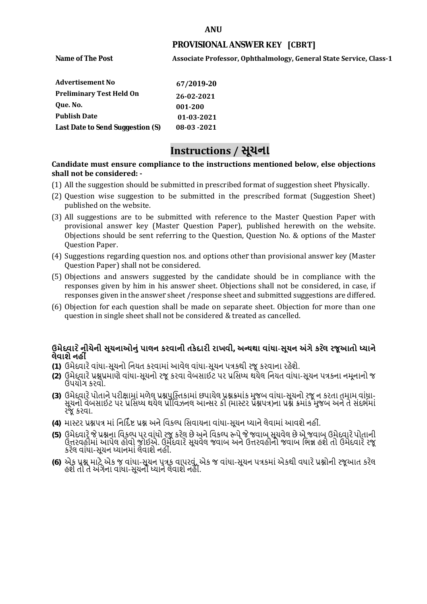#### **ANU**

### **PROVISIONAL ANSWER KEY [CBRT]**

**Name of The Post** 

**Associate Professor, Ophthalmology, General State Service, Class-1**

| <b>Advertisement No</b>          | 67/2019-20   |
|----------------------------------|--------------|
| <b>Preliminary Test Held On</b>  | 26-02-2021   |
| Oue. No.                         | 001-200      |
| <b>Publish Date</b>              | 01-03-2021   |
| Last Date to Send Suggestion (S) | $08-03-2021$ |

# **Instructions / સૂચના**

### **shall not be considered: - Candidate must ensure compliance to the instructions mentioned below, else objections**

- (1) All the suggestion should be submitted in prescribed format of suggestion sheet Physically.
- (2) Question wise suggestion to be submitted in the prescribed format (Suggestion Sheet) published on the website.
- (3) All suggestions are to be submitted with reference to the Master Question Paper with provisional answer key (Master Question Paper), published herewith on the website. Objections should be sent referring to the Question, Question No. & options of the Master Question Paper.
- (4) Suggestions regarding question nos. and options other than provisional answer key (Master Question Paper) shall not be considered.
- (5) Objections and answers suggested by the candidate should be in compliance with the responses given by him in his answer sheet. Objections shall not be considered, in case, if responses given in the answer sheet /response sheet and submitted suggestions are differed.
- (6) Objection for each question shall be made on separate sheet. Objection for more than one question in single sheet shall not be considered & treated as cancelled.

## **ઉમેદવાર ેનીચેની સૂચનાઓનું પાલન કરવાની તકેદારી રાખવી, અլયથા વાંધા-સૂચન અંગેકર ેલ રજૂઆતો իયાને લેવાશેનહી ં**

- **(1)** ઉમેદવારેવાંધા**-**સૂચનો િનયત કરવામાં આવેલ વાંધા-સૂચન પԋકથી રજૂ કરવાના રહેશે**.**
- **(2)** ઉમેદવારેԐՇԐમાણે વાંધા**-**સૂચનો રજૂકરવા વેબસાઈટ પર Ԑિસիધ થયેલ િનયત વાંધા-સૂચન પԋકના નમૂનાનો જ ઉપયોગ કરવો**.**
- **(3)** ઉમેદવારેપોતાનેપરીԟામાંમળેલ ԐՇપુિչતકામાંછપાયેલ ԐՇԃમાંક મુજબ વાંધા**-**સૂચનો રજૂન કરતા તમામ વાંધા**-** સૂચનો વેબસાઈટ પર પ્રસિધ્ધ થયેલ પ્રોવિઝનલ આન્સર કી (માસ્ટર પ્રૅશ્નપત્ર)ના પ્રશ્ને ક્રમાંક મુજબ અને તે સંદર્ભમાં રજૂકરવા**.**
- **(4)** માչટર ԐՇપԋ માંિનિદӪ Ջ ԐՇ અનેિવકճપ િસવાયના વાંધા**-**સૂચન իયાનેલેવામાંઆવશેનહીં**.**
- (5) ઉમેદવારે જે પ્રશ્નના વિકલ્પ પર વાંધો રજૂ કરેલ છે અને વિકલ્પ ર<del>ુ</del>પે જે જવાબ સૂચવેલ છે એ જવાબ ઉમેદવારે પોતાની ઉԱરવહીમાંઆપેલ હોવો જોઈએ**.** ઉમેદવારેસૂચવેલ જવાબ અનેઉԱરવહીનો જવાબ િભՂ હશેતો ઉમેદવારેરજૂ કરેલ વાંધા**-**સૂચન իયાનમાંલેવાશેનહીં**.**
- **(6)** એક ԐՇ માટેએક જ વાંધા**-**સૂચન પԋક વાપરવું**.** એક જ વાંધા**-**સૂચન પԋકમાંએકથી વધારેԐՇોની રજૂઆત કરેલ હશેતો તેઅંગેના વાંધા**-**સૂચનો իયાનેલેવાશેનહીં**.**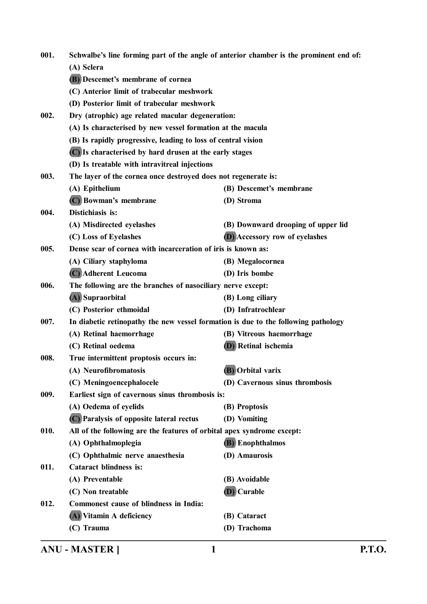| 001. |                                                                                    | Schwalbe's line forming part of the angle of anterior chamber is the prominent end of: |
|------|------------------------------------------------------------------------------------|----------------------------------------------------------------------------------------|
|      | (A) Sclera                                                                         |                                                                                        |
|      | (B) Descemet's membrane of cornea                                                  |                                                                                        |
|      | (C) Anterior limit of trabecular meshwork                                          |                                                                                        |
|      | (D) Posterior limit of trabecular meshwork                                         |                                                                                        |
| 002. | Dry (atrophic) age related macular degeneration:                                   |                                                                                        |
|      | (A) Is characterised by new vessel formation at the macula                         |                                                                                        |
|      | (B) Is rapidly progressive, leading to loss of central vision                      |                                                                                        |
|      | (C) Is characterised by hard drusen at the early stages                            |                                                                                        |
|      | (D) Is treatable with intravitreal injections                                      |                                                                                        |
| 003. | The layer of the cornea once destroyed does not regenerate is:                     |                                                                                        |
|      | (A) Epithelium                                                                     | (B) Descemet's membrane                                                                |
|      | (C) Bowman's membrane                                                              | (D) Stroma                                                                             |
| 004. | Distichiasis is:                                                                   |                                                                                        |
|      | (A) Misdirected eyelashes                                                          | (B) Downward drooping of upper lid                                                     |
|      | (C) Loss of Eyelashes                                                              | <b>(D)</b> Accessory row of eyelashes                                                  |
| 005. | Dense scar of cornea with incarceration of iris is known as:                       |                                                                                        |
|      | (A) Ciliary staphyloma                                                             | (B) Megalocornea                                                                       |
|      | (C) Adherent Leucoma                                                               | (D) Iris bombe                                                                         |
| 006. | The following are the branches of nasociliary nerve except:                        |                                                                                        |
|      | (A) Supraorbital                                                                   | (B) Long ciliary                                                                       |
|      | (C) Posterior ethmoidal                                                            | (D) Infratrochlear                                                                     |
| 007. | In diabetic retinopathy the new vessel formation is due to the following pathology |                                                                                        |
|      | (A) Retinal haemorrhage                                                            | (B) Vitreous haemorrhage                                                               |
|      | (C) Retinal oedema                                                                 | <b>(D)</b> Retinal ischemia                                                            |
| 008. | True intermittent proptosis occurs in:                                             |                                                                                        |
|      | (A) Neurofibromatosis                                                              | (B) Orbital varix                                                                      |
|      | (C) Meningoencephalocele                                                           | (D) Cavernous sinus thrombosis                                                         |
| 009. | Earliest sign of cavernous sinus thrombosis is:                                    |                                                                                        |
|      | (A) Oedema of eyelids                                                              | (B) Proptosis                                                                          |
|      | (C) Paralysis of opposite lateral rectus                                           | (D) Vomiting                                                                           |
| 010. | All of the following are the features of orbital apex syndrome except:             |                                                                                        |
|      | (A) Ophthalmoplegia                                                                | (B) Enophthalmos                                                                       |
|      | (C) Ophthalmic nerve anaesthesia                                                   | (D) Amaurosis                                                                          |
| 011. | <b>Cataract blindness is:</b>                                                      |                                                                                        |
|      | (A) Preventable                                                                    | (B) Avoidable                                                                          |
|      | (C) Non treatable                                                                  | (D) Curable                                                                            |
| 012. | Commonest cause of blindness in India:                                             |                                                                                        |
|      | (A) Vitamin A deficiency                                                           | (B) Cataract                                                                           |
|      | (C) Trauma                                                                         | (D) Trachoma                                                                           |

**ANU - MASTER ] 1 P.T.O.**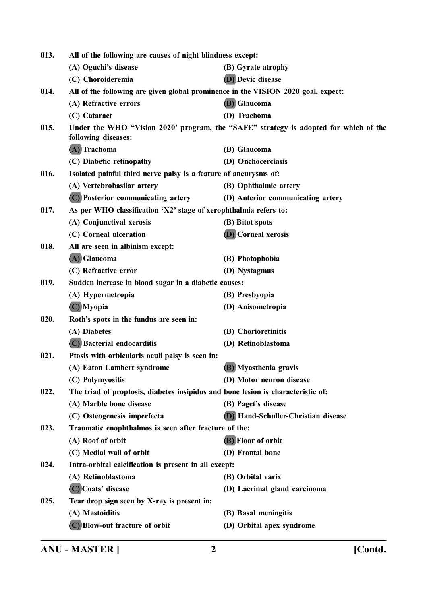| 013. | All of the following are causes of night blindness except:                        |                                                                                      |
|------|-----------------------------------------------------------------------------------|--------------------------------------------------------------------------------------|
|      | (A) Oguchi's disease                                                              | (B) Gyrate atrophy                                                                   |
|      | (C) Choroideremia                                                                 | <b>D</b> ) Devic disease                                                             |
| 014. | All of the following are given global prominence in the VISION 2020 goal, expect: |                                                                                      |
|      | (A) Refractive errors                                                             | (B) Glaucoma                                                                         |
|      | (C) Cataract                                                                      | (D) Trachoma                                                                         |
| 015. | following diseases:                                                               | Under the WHO "Vision 2020' program, the "SAFE" strategy is adopted for which of the |
|      | (A) Trachoma                                                                      | (B) Glaucoma                                                                         |
|      | (C) Diabetic retinopathy                                                          | (D) Onchocerciasis                                                                   |
| 016. | Isolated painful third nerve palsy is a feature of aneurysms of:                  |                                                                                      |
|      | (A) Vertebrobasilar artery                                                        | (B) Ophthalmic artery                                                                |
|      | (C) Posterior communicating artery                                                | (D) Anterior communicating artery                                                    |
| 017. | As per WHO classification 'X2' stage of xerophthalmia refers to:                  |                                                                                      |
|      | (A) Conjunctival xerosis                                                          | (B) Bitot spots                                                                      |
|      | (C) Corneal ulceration                                                            | <b>D</b> ) Corneal xerosis                                                           |
| 018. | All are seen in albinism except:                                                  |                                                                                      |
|      | (A) Glaucoma                                                                      | (B) Photophobia                                                                      |
|      | (C) Refractive error                                                              | (D) Nystagmus                                                                        |
| 019. | Sudden increase in blood sugar in a diabetic causes:                              |                                                                                      |
|      | (A) Hypermetropia                                                                 | (B) Presbyopia                                                                       |
|      | (C) Myopia                                                                        | (D) Anisometropia                                                                    |
| 020. | Roth's spots in the fundus are seen in:                                           |                                                                                      |
|      | (A) Diabetes                                                                      | (B) Chorioretinitis                                                                  |
|      | (C) Bacterial endocarditis                                                        | (D) Retinoblastoma                                                                   |
| 021. | Ptosis with orbicularis oculi palsy is seen in:                                   |                                                                                      |
|      | (A) Eaton Lambert syndrome                                                        | (B) Myasthenia gravis                                                                |
|      | (C) Polymyositis                                                                  | (D) Motor neuron disease                                                             |
| 022. | The triad of proptosis, diabetes insipidus and bone lesion is characteristic of:  |                                                                                      |
|      | (A) Marble bone disease                                                           | (B) Paget's disease                                                                  |
|      | (C) Osteogenesis imperfecta                                                       | (D) Hand-Schuller-Christian disease                                                  |
| 023. | Traumatic enophthalmos is seen after fracture of the:                             |                                                                                      |
|      | (A) Roof of orbit                                                                 | (B) Floor of orbit                                                                   |
|      | (C) Medial wall of orbit                                                          | (D) Frontal bone                                                                     |
| 024. | Intra-orbital calcification is present in all except:                             |                                                                                      |
|      | (A) Retinoblastoma                                                                | (B) Orbital varix                                                                    |
|      | (C) Coats' disease                                                                | (D) Lacrimal gland carcinoma                                                         |
| 025. | Tear drop sign seen by X-ray is present in:                                       |                                                                                      |
|      | (A) Mastoiditis                                                                   | (B) Basal meningitis                                                                 |
|      | (C) Blow-out fracture of orbit                                                    | (D) Orbital apex syndrome                                                            |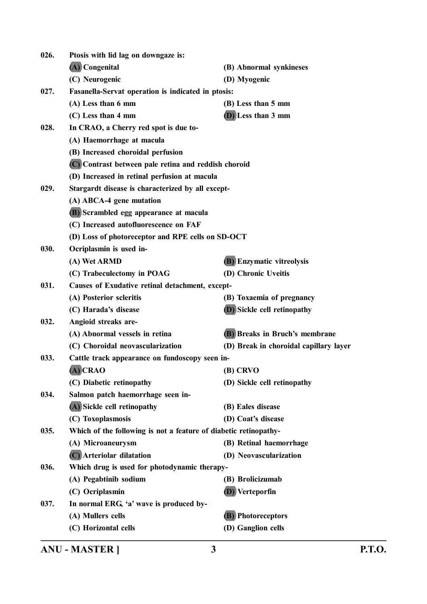| 026. | Ptosis with lid lag on downgaze is:                              |                                        |
|------|------------------------------------------------------------------|----------------------------------------|
|      | (A) Congenital                                                   | (B) Abnormal synkineses                |
|      | (C) Neurogenic                                                   | (D) Myogenic                           |
| 027. | <b>Fasanella-Servat operation is indicated in ptosis:</b>        |                                        |
|      | (A) Less than 6 mm                                               | (B) Less than 5 mm                     |
|      | (C) Less than 4 mm                                               | (D) Less than 3 mm                     |
| 028. | In CRAO, a Cherry red spot is due to-                            |                                        |
|      | (A) Haemorrhage at macula                                        |                                        |
|      | (B) Increased choroidal perfusion                                |                                        |
|      | (C) Contrast between pale retina and reddish choroid             |                                        |
|      | (D) Increased in retinal perfusion at macula                     |                                        |
| 029. | Stargardt disease is characterized by all except-                |                                        |
|      | (A) ABCA-4 gene mutation                                         |                                        |
|      | (B) Scrambled egg appearance at macula                           |                                        |
|      | (C) Increased autofluorescence on FAF                            |                                        |
|      | (D) Loss of photoreceptor and RPE cells on SD-OCT                |                                        |
| 030. | Ocriplasmin is used in-                                          |                                        |
|      | (A) Wet ARMD                                                     | <b>(B)</b> Enzymatic vitreolysis       |
|      | (C) Trabeculectomy in POAG                                       | (D) Chronic Uveitis                    |
| 031. | Causes of Exudative retinal detachment, except-                  |                                        |
|      | (A) Posterior scleritis                                          | (B) Toxaemia of pregnancy              |
|      | (C) Harada's disease                                             | (D) Sickle cell retinopathy            |
| 032. | Angioid streaks are-                                             |                                        |
|      | (A) Abnormal vessels in retina                                   | (B) Breaks in Bruch's membrane         |
|      | (C) Choroidal neovascularization                                 | (D) Break in choroidal capillary layer |
| 033. | Cattle track appearance on fundoscopy seen in-                   |                                        |
|      | (A) CRAO                                                         | (B) CRVO                               |
|      | (C) Diabetic retinopathy                                         | (D) Sickle cell retinopathy            |
| 034. | Salmon patch haemorrhage seen in-                                |                                        |
|      | (A) Sickle cell retinopathy                                      | (B) Eales disease                      |
|      | (C) Toxoplasmosis                                                | (D) Coat's disease                     |
| 035. | Which of the following is not a feature of diabetic retinopathy- |                                        |
|      | (A) Microaneurysm                                                | (B) Retinal haemorrhage                |
|      | (C) Arteriolar dilatation                                        | (D) Neovascularization                 |
| 036. | Which drug is used for photodynamic therapy-                     |                                        |
|      | (A) Pegabtinib sodium                                            | (B) Brolicizumab                       |
|      | (C) Ocriplasmin                                                  | (D) Verteporfin                        |
| 037. | In normal ERG, 'a' wave is produced by-                          |                                        |
|      | (A) Mullers cells                                                | <b>(B)</b> Photoreceptors              |
|      | (C) Horizontal cells                                             | (D) Ganglion cells                     |

**ANU - MASTER ] 3 P.T.O.**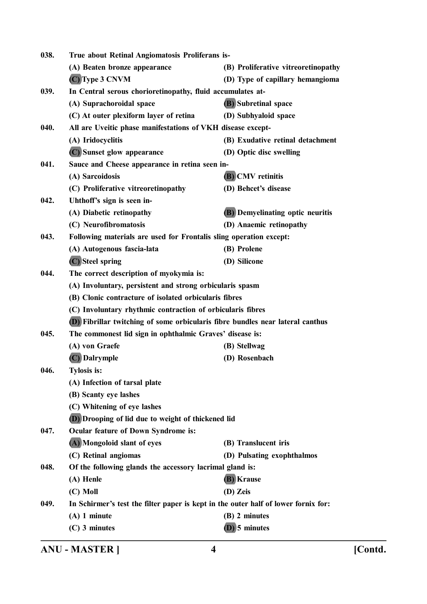| 038. | True about Retinal Angiomatosis Proliferans is-                                    |                                         |
|------|------------------------------------------------------------------------------------|-----------------------------------------|
|      | (A) Beaten bronze appearance                                                       | (B) Proliferative vitreoretinopathy     |
|      | $(C)$ Type 3 CNVM                                                                  | (D) Type of capillary hemangioma        |
| 039. | In Central serous chorioretinopathy, fluid accumulates at-                         |                                         |
|      | (A) Suprachoroidal space                                                           | <b>(B)</b> Subretinal space             |
|      | (C) At outer plexiform layer of retina                                             | (D) Subhyaloid space                    |
| 040. | All are Uveitic phase manifestations of VKH disease except-                        |                                         |
|      | (A) Iridocyclitis                                                                  | (B) Exudative retinal detachment        |
|      | (C) Sunset glow appearance                                                         | (D) Optic disc swelling                 |
| 041. | Sauce and Cheese appearance in retina seen in-                                     |                                         |
|      | (A) Sarcoidosis                                                                    | <b>(B)</b> CMV retinitis                |
|      | (C) Proliferative vitreoretinopathy                                                | (D) Behcet's disease                    |
| 042. | Uhthoff's sign is seen in-                                                         |                                         |
|      | (A) Diabetic retinopathy                                                           | <b>(B)</b> Demyelinating optic neuritis |
|      | (C) Neurofibromatosis                                                              | (D) Anaemic retinopathy                 |
| 043. | Following materials are used for Frontalis sling operation except:                 |                                         |
|      | (A) Autogenous fascia-lata                                                         | (B) Prolene                             |
|      | (C) Steel spring                                                                   | (D) Silicone                            |
| 044. | The correct description of myokymia is:                                            |                                         |
|      | (A) Involuntary, persistent and strong orbicularis spasm                           |                                         |
|      | (B) Clonic contracture of isolated orbicularis fibres                              |                                         |
|      | (C) Involuntary rhythmic contraction of orbicularis fibres                         |                                         |
|      | (D) Fibrillar twitching of some orbicularis fibre bundles near lateral canthus     |                                         |
| 045. | The commonest lid sign in ophthalmic Graves' disease is:                           |                                         |
|      | (A) von Graefe                                                                     | (B) Stellwag                            |
|      | (C) Dalrymple                                                                      | (D) Rosenbach                           |
| 046. | <b>Tylosis is:</b>                                                                 |                                         |
|      | (A) Infection of tarsal plate                                                      |                                         |
|      | (B) Scanty eye lashes                                                              |                                         |
|      | (C) Whitening of eye lashes                                                        |                                         |
|      | (D) Drooping of lid due to weight of thickened lid                                 |                                         |
| 047. | <b>Ocular feature of Down Syndrome is:</b>                                         |                                         |
|      | (A) Mongoloid slant of eyes                                                        | (B) Translucent iris                    |
|      | (C) Retinal angiomas                                                               | (D) Pulsating exophthalmos              |
| 048. | Of the following glands the accessory lacrimal gland is:                           |                                         |
|      | (A) Henle                                                                          | (B) Krause                              |
|      | $(C)$ Moll                                                                         | (D) Zeis                                |
| 049. | In Schirmer's test the filter paper is kept in the outer half of lower fornix for: |                                         |
|      | $(A)$ 1 minute                                                                     | (B) 2 minutes                           |
|      | $(C)$ 3 minutes                                                                    | $(D)$ 5 minutes                         |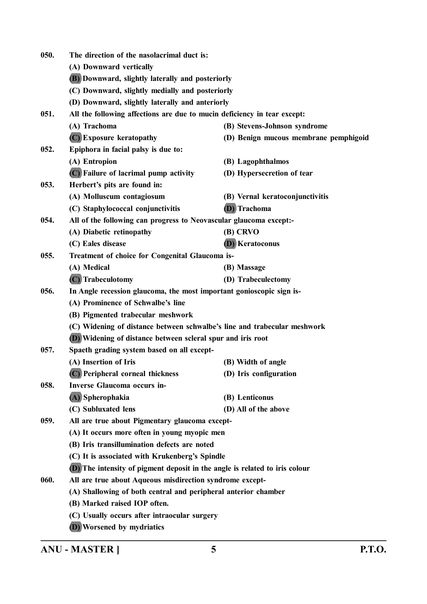| 050. | The direction of the nasolacrimal duct is:                                  |                                       |
|------|-----------------------------------------------------------------------------|---------------------------------------|
|      | (A) Downward vertically                                                     |                                       |
|      | (B) Downward, slightly laterally and posteriorly                            |                                       |
|      | (C) Downward, slightly medially and posteriorly                             |                                       |
|      | (D) Downward, slightly laterally and anteriorly                             |                                       |
| 051. | All the following affections are due to mucin deficiency in tear except:    |                                       |
|      | (A) Trachoma                                                                | (B) Stevens-Johnson syndrome          |
|      | (C) Exposure keratopathy                                                    | (D) Benign mucous membrane pemphigoid |
| 052. | Epiphora in facial palsy is due to:                                         |                                       |
|      | (A) Entropion                                                               | (B) Lagophthalmos                     |
|      | (C) Failure of lacrimal pump activity                                       | (D) Hypersecretion of tear            |
| 053. | Herbert's pits are found in:                                                |                                       |
|      | (A) Molluscum contagiosum                                                   | (B) Vernal keratoconjunctivitis       |
|      | (C) Staphylococcal conjunctivitis                                           | (D) Trachoma                          |
| 054. | All of the following can progress to Neovascular glaucoma except:-          |                                       |
|      | (A) Diabetic retinopathy                                                    | (B) CRVO                              |
|      | (C) Eales disease                                                           | <b>(D)</b> Keratoconus                |
| 055. | Treatment of choice for Congenital Glaucoma is-                             |                                       |
|      | (A) Medical                                                                 | (B) Massage                           |
|      | (C) Trabeculotomy                                                           | (D) Trabeculectomy                    |
| 056. | In Angle recession glaucoma, the most important gonioscopic sign is-        |                                       |
|      | (A) Prominence of Schwalbe's line                                           |                                       |
|      | (B) Pigmented trabecular meshwork                                           |                                       |
|      | (C) Widening of distance between schwalbe's line and trabecular meshwork    |                                       |
|      | (D) Widening of distance between scleral spur and iris root                 |                                       |
| 057. | Spaeth grading system based on all except-                                  |                                       |
|      | (A) Insertion of Iris                                                       | (B) Width of angle                    |
|      | (C) Peripheral corneal thickness                                            | (D) Iris configuration                |
| 058. | <b>Inverse Glaucoma occurs in-</b>                                          |                                       |
|      | (A) Spherophakia                                                            | (B) Lenticonus                        |
|      | (C) Subluxated lens                                                         | (D) All of the above                  |
| 059. | All are true about Pigmentary glaucoma except-                              |                                       |
|      | (A) It occurs more often in young myopic men                                |                                       |
|      | (B) Iris transillumination defects are noted                                |                                       |
|      | (C) It is associated with Krukenberg's Spindle                              |                                       |
|      | (D) The intensity of pigment deposit in the angle is related to iris colour |                                       |
| 060. | All are true about Aqueous misdirection syndrome except-                    |                                       |
|      | (A) Shallowing of both central and peripheral anterior chamber              |                                       |
|      | (B) Marked raised IOP often.                                                |                                       |
|      | (C) Usually occurs after intraocular surgery                                |                                       |
|      | (D) Worsened by mydriatics                                                  |                                       |

**ANU - MASTER ] 5 P.T.O.**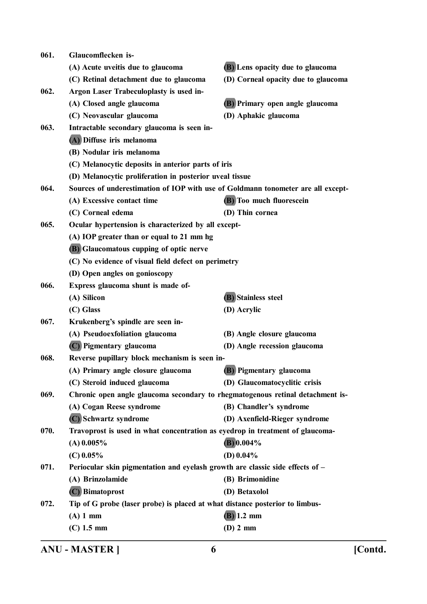| 061. | Glaucomflecken is-                                                               |                                     |
|------|----------------------------------------------------------------------------------|-------------------------------------|
|      | (A) Acute uveitis due to glaucoma                                                | (B) Lens opacity due to glaucoma    |
|      | (C) Retinal detachment due to glaucoma                                           | (D) Corneal opacity due to glaucoma |
| 062. | Argon Laser Trabeculoplasty is used in-                                          |                                     |
|      | (A) Closed angle glaucoma                                                        | (B) Primary open angle glaucoma     |
|      | (C) Neovascular glaucoma                                                         | (D) Aphakic glaucoma                |
| 063. | Intractable secondary glaucoma is seen in-                                       |                                     |
|      | (A) Diffuse iris melanoma                                                        |                                     |
|      | (B) Nodular iris melanoma                                                        |                                     |
|      | (C) Melanocytic deposits in anterior parts of iris                               |                                     |
|      | (D) Melanocytic proliferation in posterior uveal tissue                          |                                     |
| 064. | Sources of underestimation of IOP with use of Goldmann tonometer are all except- |                                     |
|      | (A) Excessive contact time                                                       | <b>(B)</b> Too much fluorescein     |
|      | (C) Corneal edema                                                                | (D) Thin cornea                     |
| 065. | Ocular hypertension is characterized by all except-                              |                                     |
|      | (A) IOP greater than or equal to 21 mm hg                                        |                                     |
|      | (B) Glaucomatous cupping of optic nerve                                          |                                     |
|      | (C) No evidence of visual field defect on perimetry                              |                                     |
|      | (D) Open angles on gonioscopy                                                    |                                     |
| 066. | Express glaucoma shunt is made of-                                               |                                     |
|      | (A) Silicon                                                                      | (B) Stainless steel                 |
|      | (C) Glass                                                                        | (D) Acrylic                         |
| 067. | Krukenberg's spindle are seen in-                                                |                                     |
|      | (A) Pseudoexfoliation glaucoma                                                   | (B) Angle closure glaucoma          |
|      | (C) Pigmentary glaucoma                                                          | (D) Angle recession glaucoma        |
| 068. | Reverse pupillary block mechanism is seen in-                                    |                                     |
|      | (A) Primary angle closure glaucoma                                               | <b>(B)</b> Pigmentary glaucoma      |
|      | (C) Steroid induced glaucoma                                                     | (D) Glaucomatocyclitic crisis       |
| 069. | Chronic open angle glaucoma secondary to rhegmatogenous retinal detachment is-   |                                     |
|      | (A) Cogan Reese syndrome                                                         | (B) Chandler's syndrome             |
|      | (C) Schwartz syndrome                                                            | (D) Axenfield-Rieger syndrome       |
| 070. | Travoprost is used in what concentration as eyedrop in treatment of glaucoma-    |                                     |
|      | $(A)$ 0.005%                                                                     | $(B) 0.004\%$                       |
|      | $(C)$ 0.05%                                                                      | (D) $0.04\%$                        |
| 071. | Periocular skin pigmentation and eyelash growth are classic side effects of -    |                                     |
|      | (A) Brinzolamide                                                                 | (B) Brimonidine                     |
|      | (C) Bimatoprost                                                                  | (D) Betaxolol                       |
| 072. | Tip of G probe (laser probe) is placed at what distance posterior to limbus-     |                                     |
|      | $(A)$ 1 mm                                                                       | $(B)$ 1.2 mm                        |
|      | $(C)$ 1.5 mm                                                                     | $(D)$ 2 mm                          |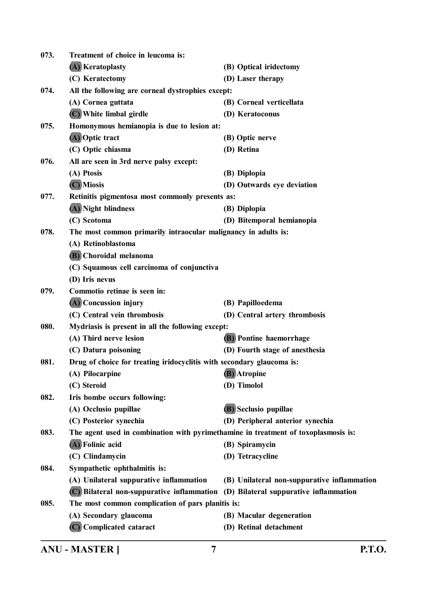| 073. | Treatment of choice in leucoma is:                                                 |                                             |
|------|------------------------------------------------------------------------------------|---------------------------------------------|
|      | (A) Keratoplasty                                                                   | (B) Optical iridectomy                      |
|      | (C) Keratectomy                                                                    | (D) Laser therapy                           |
| 074. | All the following are corneal dystrophies except:                                  |                                             |
|      | (A) Cornea guttata                                                                 | (B) Corneal verticellata                    |
|      | (C) White limbal girdle                                                            | (D) Keratoconus                             |
| 075. | Homonymous hemianopia is due to lesion at:                                         |                                             |
|      | (A) Optic tract                                                                    | (B) Optic nerve                             |
|      | (C) Optic chiasma                                                                  | (D) Retina                                  |
| 076. | All are seen in 3rd nerve palsy except:                                            |                                             |
|      | (A) Ptosis                                                                         | (B) Diplopia                                |
|      | (C) Miosis                                                                         | (D) Outwards eye deviation                  |
| 077. | Retinitis pigmentosa most commonly presents as:                                    |                                             |
|      | (A) Night blindness                                                                | (B) Diplopia                                |
|      | (C) Scotoma                                                                        | (D) Bitemporal hemianopia                   |
| 078. | The most common primarily intraocular malignancy in adults is:                     |                                             |
|      | (A) Retinoblastoma                                                                 |                                             |
|      | (B) Choroidal melanoma                                                             |                                             |
|      | (C) Squamous cell carcinoma of conjunctiva                                         |                                             |
|      | (D) Iris nevus                                                                     |                                             |
| 079. | Commotio retinae is seen in:                                                       |                                             |
|      | (A) Concussion injury                                                              | (B) Papilloedema                            |
|      | (C) Central vein thrombosis                                                        | (D) Central artery thrombosis               |
| 080. | Mydriasis is present in all the following except:                                  |                                             |
|      | (A) Third nerve lesion                                                             | (B) Pontine haemorrhage                     |
|      | (C) Datura poisoning                                                               | (D) Fourth stage of anesthesia              |
| 081. | Drug of choice for treating iridocyclitis with secondary glaucoma is:              |                                             |
|      | (A) Pilocarpine                                                                    | (B) Atropine                                |
|      | (C) Steroid                                                                        | (D) Timolol                                 |
| 082. | Iris bombe occurs following:                                                       |                                             |
|      | (A) Occlusio pupillae                                                              | (B) Seclusio pupillae                       |
|      | (C) Posterior synechia                                                             | (D) Peripheral anterior synechia            |
| 083. | The agent used in combination with pyrimethamine in treatment of toxoplasmosis is: |                                             |
|      | (A) Folinic acid                                                                   | (B) Spiramycin                              |
|      | (C) Clindamycin                                                                    | (D) Tetracycline                            |
| 084. | Sympathetic ophthalmitis is:                                                       |                                             |
|      | (A) Unilateral suppurative inflammation                                            | (B) Unilateral non-suppurative inflammation |
|      | (C) Bilateral non-suppurative inflammation (D) Bilateral suppurative inflammation  |                                             |
| 085. | The most common complication of pars planitis is:                                  |                                             |
|      | (A) Secondary glaucoma                                                             | (B) Macular degeneration                    |
|      | (C) Complicated cataract                                                           | (D) Retinal detachment                      |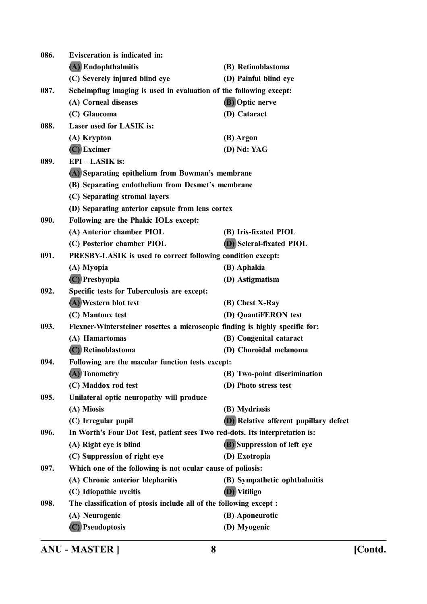| 086. | <b>Evisceration is indicated in:</b>                                         |                                               |
|------|------------------------------------------------------------------------------|-----------------------------------------------|
|      | (A) Endophthalmitis                                                          | (B) Retinoblastoma                            |
|      | (C) Severely injured blind eye                                               | (D) Painful blind eye                         |
| 087. | Scheimpflug imaging is used in evaluation of the following except:           |                                               |
|      | (A) Corneal diseases                                                         | (B) Optic nerve                               |
|      | (C) Glaucoma                                                                 | (D) Cataract                                  |
| 088. | <b>Laser used for LASIK is:</b>                                              |                                               |
|      | (A) Krypton                                                                  | (B) Argon                                     |
|      | $(C)$ Excimer                                                                | (D) Nd: YAG                                   |
| 089. | EPI-LASIK is:                                                                |                                               |
|      | (A) Separating epithelium from Bowman's membrane                             |                                               |
|      | (B) Separating endothelium from Desmet's membrane                            |                                               |
|      | (C) Separating stromal layers                                                |                                               |
|      | (D) Separating anterior capsule from lens cortex                             |                                               |
| 090. | Following are the Phakic IOLs except:                                        |                                               |
|      | (A) Anterior chamber PIOL                                                    | (B) Iris-fixated PIOL                         |
|      | (C) Posterior chamber PIOL                                                   | <b>(D)</b> Scleral-fixated PIOL               |
| 091. | PRESBY-LASIK is used to correct following condition except:                  |                                               |
|      | (A) Myopia                                                                   | (B) Aphakia                                   |
|      | (C) Presbyopia                                                               | (D) Astigmatism                               |
| 092. | Specific tests for Tuberculosis are except:                                  |                                               |
|      | (A) Western blot test                                                        | (B) Chest X-Ray                               |
|      | (C) Mantoux test                                                             | (D) QuantiFERON test                          |
| 093. | Flexner-Wintersteiner rosettes a microscopic finding is highly specific for: |                                               |
|      | (A) Hamartomas                                                               | (B) Congenital cataract                       |
|      | (C) Retinoblastoma                                                           | (D) Choroidal melanoma                        |
| 094. | Following are the macular function tests except:                             |                                               |
|      | (A) Tonometry                                                                | (B) Two-point discrimination                  |
|      | (C) Maddox rod test                                                          | (D) Photo stress test                         |
| 095. | Unilateral optic neuropathy will produce                                     |                                               |
|      | (A) Miosis                                                                   | (B) Mydriasis                                 |
|      | (C) Irregular pupil                                                          | <b>(D)</b> Relative afferent pupillary defect |
| 096. | In Worth's Four Dot Test, patient sees Two red-dots. Its interpretation is:  |                                               |
|      | (A) Right eye is blind                                                       | <b>(B)</b> Suppression of left eye            |
|      | (C) Suppression of right eye                                                 | (D) Exotropia                                 |
| 097. | Which one of the following is not ocular cause of poliosis:                  |                                               |
|      | (A) Chronic anterior blepharitis                                             | (B) Sympathetic ophthalmitis                  |
|      | (C) Idiopathic uveitis                                                       | (D) Vitiligo                                  |
| 098. | The classification of ptosis include all of the following except :           |                                               |
|      | (A) Neurogenic                                                               | (B) Aponeurotic                               |
|      | (C) Pseudoptosis                                                             | (D) Myogenic                                  |

**ANU - MASTER ] 8 [Contd.**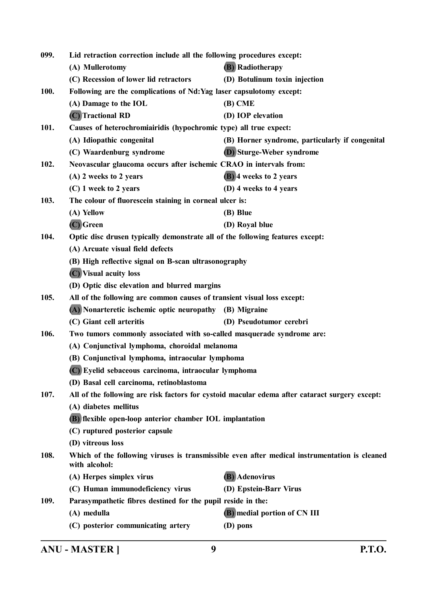| 099.        | Lid retraction correction include all the following procedures except:        |                                                                                                |  |
|-------------|-------------------------------------------------------------------------------|------------------------------------------------------------------------------------------------|--|
|             | (A) Mullerotomy                                                               | <b>(B)</b> Radiotherapy                                                                        |  |
|             | (C) Recession of lower lid retractors                                         | (D) Botulinum toxin injection                                                                  |  |
| <b>100.</b> | Following are the complications of Nd: Yag laser capsulotomy except:          |                                                                                                |  |
|             | (A) Damage to the IOL                                                         | $(B)$ CME                                                                                      |  |
|             | (C) Tractional RD                                                             | (D) IOP elevation                                                                              |  |
| 101.        | Causes of heterochromiairidis (hypochromic type) all true expect:             |                                                                                                |  |
|             | (A) Idiopathic congenital                                                     | (B) Horner syndrome, particularly if congenital                                                |  |
|             | (C) Waardenburg syndrome                                                      | (D) Sturge-Weber syndrome                                                                      |  |
| 102.        | Neovascular glaucoma occurs after ischemic CRAO in intervals from:            |                                                                                                |  |
|             | (A) 2 weeks to 2 years                                                        | (B) 4 weeks to 2 years                                                                         |  |
|             | (C) 1 week to 2 years                                                         | (D) 4 weeks to 4 years                                                                         |  |
| 103.        | The colour of fluorescein staining in corneal ulcer is:                       |                                                                                                |  |
|             | (A) Yellow                                                                    | (B) Blue                                                                                       |  |
|             | (C) Green                                                                     | (D) Royal blue                                                                                 |  |
| 104.        | Optic disc drusen typically demonstrate all of the following features except: |                                                                                                |  |
|             | (A) Arcuate visual field defects                                              |                                                                                                |  |
|             | (B) High reflective signal on B-scan ultrasonography                          |                                                                                                |  |
|             | (C) Visual acuity loss                                                        |                                                                                                |  |
|             | (D) Optic disc elevation and blurred margins                                  |                                                                                                |  |
| 105.        | All of the following are common causes of transient visual loss except:       |                                                                                                |  |
|             | (A) Nonarteretic ischemic optic neuropathy (B) Migraine                       |                                                                                                |  |
|             | (C) Giant cell arteritis                                                      | (D) Pseudotumor cerebri                                                                        |  |
| 106.        | Two tumors commonly associated with so-called masquerade syndrome are:        |                                                                                                |  |
|             | (A) Conjunctival lymphoma, choroidal melanoma                                 |                                                                                                |  |
|             | (B) Conjunctival lymphoma, intraocular lymphoma                               |                                                                                                |  |
|             | (C) Eyelid sebaceous carcinoma, intraocular lymphoma                          |                                                                                                |  |
|             | (D) Basal cell carcinoma, retinoblastoma                                      |                                                                                                |  |
| 107.        |                                                                               | All of the following are risk factors for cystoid macular edema after cataract surgery except: |  |
|             | (A) diabetes mellitus                                                         |                                                                                                |  |
|             | (B) flexible open-loop anterior chamber IOL implantation                      |                                                                                                |  |
|             | (C) ruptured posterior capsule                                                |                                                                                                |  |
|             | (D) vitreous loss                                                             |                                                                                                |  |
| 108.        | with alcohol:                                                                 | Which of the following viruses is transmissible even after medical instrumentation is cleaned  |  |
|             | (A) Herpes simplex virus                                                      | (B) Adenovirus                                                                                 |  |
|             | (C) Human immunodeficiency virus                                              | (D) Epstein-Barr Virus                                                                         |  |
| 109.        | Parasympathetic fibres destined for the pupil reside in the:                  |                                                                                                |  |
|             | (A) medulla                                                                   | (B) medial portion of CN III                                                                   |  |
|             | (C) posterior communicating artery                                            | (D) pons                                                                                       |  |
|             |                                                                               |                                                                                                |  |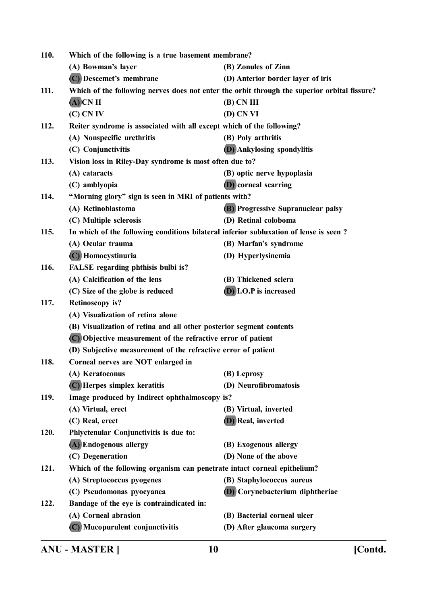| <b>110.</b> | Which of the following is a true basement membrane?                                   |                                                                                              |
|-------------|---------------------------------------------------------------------------------------|----------------------------------------------------------------------------------------------|
|             | (A) Bowman's layer                                                                    | (B) Zonules of Zinn                                                                          |
|             | (C) Descemet's membrane                                                               | (D) Anterior border layer of iris                                                            |
| 111.        |                                                                                       | Which of the following nerves does not enter the orbit through the superior orbital fissure? |
|             | $(A)$ CN II                                                                           | $(B)$ CN III                                                                                 |
|             | (C) CN IV                                                                             | (D) CN VI                                                                                    |
| 112.        | Reiter syndrome is associated with all except which of the following?                 |                                                                                              |
|             | (A) Nonspecific urethritis                                                            | (B) Poly arthritis                                                                           |
|             | (C) Conjunctivitis                                                                    | <b>(D)</b> Ankylosing spondylitis                                                            |
| 113.        | Vision loss in Riley-Day syndrome is most often due to?                               |                                                                                              |
|             | (A) cataracts                                                                         | (B) optic nerve hypoplasia                                                                   |
|             | (C) amblyopia                                                                         | (D) corneal scarring                                                                         |
| 114.        | "Morning glory" sign is seen in MRI of patients with?                                 |                                                                                              |
|             | (A) Retinoblastoma                                                                    | <b>(B)</b> Progressive Supranuclear palsy                                                    |
|             | (C) Multiple sclerosis                                                                | (D) Retinal coloboma                                                                         |
| 115.        | In which of the following conditions bilateral inferior subluxation of lense is seen? |                                                                                              |
|             | (A) Ocular trauma                                                                     | (B) Marfan's syndrome                                                                        |
|             | (C) Homocystinuria                                                                    | (D) Hyperlysinemia                                                                           |
| 116.        | FALSE regarding phthisis bulbi is?                                                    |                                                                                              |
|             | (A) Calcification of the lens                                                         | (B) Thickened sclera                                                                         |
|             | (C) Size of the globe is reduced                                                      | (D) I.O.P is increased                                                                       |
| 117.        | <b>Retinoscopy is?</b>                                                                |                                                                                              |
|             | (A) Visualization of retina alone                                                     |                                                                                              |
|             | (B) Visualization of retina and all other posterior segment contents                  |                                                                                              |
|             | (C) Objective measurement of the refractive error of patient                          |                                                                                              |
|             | (D) Subjective measurement of the refractive error of patient                         |                                                                                              |
| 118.        | Corneal nerves are NOT enlarged in                                                    |                                                                                              |
|             | (A) Keratoconus                                                                       | (B) Leprosy                                                                                  |
|             | (C) Herpes simplex keratitis                                                          | (D) Neurofibromatosis                                                                        |
| 119.        | Image produced by Indirect ophthalmoscopy is?                                         |                                                                                              |
|             | (A) Virtual, erect                                                                    | (B) Virtual, inverted                                                                        |
|             | (C) Real, erect                                                                       | (D) Real, inverted                                                                           |
| 120.        | Phlyctenular Conjunctivitis is due to:                                                |                                                                                              |
|             | (A) Endogenous allergy                                                                | (B) Exogenous allergy                                                                        |
|             | (C) Degeneration                                                                      | (D) None of the above                                                                        |
| 121.        | Which of the following organism can penetrate intact corneal epithelium?              |                                                                                              |
|             | (A) Streptococcus pyogenes                                                            | (B) Staphylococcus aureus                                                                    |
|             | (C) Pseudomonas pyocyanea                                                             | (D) Corynebacterium diphtheriae                                                              |
| 122.        | Bandage of the eye is contraindicated in:                                             |                                                                                              |
|             | (A) Corneal abrasion                                                                  | (B) Bacterial corneal ulcer                                                                  |
|             | (C) Mucopurulent conjunctivitis                                                       | (D) After glaucoma surgery                                                                   |
|             |                                                                                       |                                                                                              |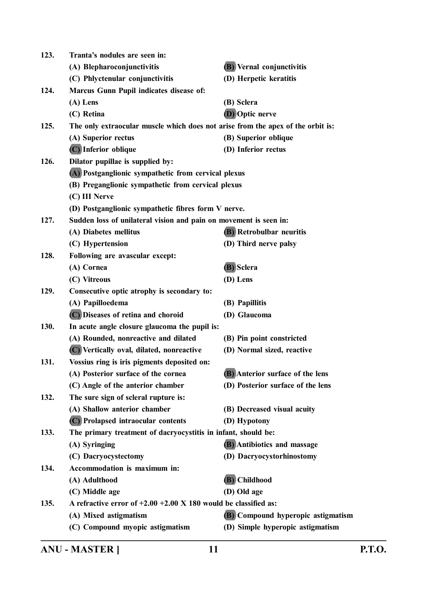| 123. | Tranta's nodules are seen in:                                                   |                                    |
|------|---------------------------------------------------------------------------------|------------------------------------|
|      | (A) Blepharoconjunctivitis                                                      | <b>(B)</b> Vernal conjunctivitis   |
|      | (C) Phlyctenular conjunctivitis                                                 | (D) Herpetic keratitis             |
| 124. | <b>Marcus Gunn Pupil indicates disease of:</b>                                  |                                    |
|      | $(A)$ Lens                                                                      | (B) Sclera                         |
|      | (C) Retina                                                                      | <b>(D)</b> Optic nerve             |
| 125. | The only extraocular muscle which does not arise from the apex of the orbit is: |                                    |
|      | (A) Superior rectus                                                             | (B) Superior oblique               |
|      | (C) Inferior oblique                                                            | (D) Inferior rectus                |
| 126. | Dilator pupillae is supplied by:                                                |                                    |
|      | (A) Postganglionic sympathetic from cervical plexus                             |                                    |
|      | (B) Preganglionic sympathetic from cervical plexus                              |                                    |
|      | (C) III Nerve                                                                   |                                    |
|      | (D) Postganglionic sympathetic fibres form V nerve.                             |                                    |
| 127. | Sudden loss of unilateral vision and pain on movement is seen in:               |                                    |
|      | (A) Diabetes mellitus                                                           | <b>(B)</b> Retrobulbar neuritis    |
|      | (C) Hypertension                                                                | (D) Third nerve palsy              |
| 128. | Following are avascular except:                                                 |                                    |
|      | (A) Cornea                                                                      | (B) Sclera                         |
|      | (C) Vitreous                                                                    | (D) Lens                           |
| 129. | Consecutive optic atrophy is secondary to:                                      |                                    |
|      | (A) Papilloedema                                                                | (B) Papillitis                     |
|      | (C) Diseases of retina and choroid                                              | (D) Glaucoma                       |
| 130. | In acute angle closure glaucoma the pupil is:                                   |                                    |
|      | (A) Rounded, nonreactive and dilated                                            | (B) Pin point constricted          |
|      | (C) Vertically oval, dilated, nonreactive                                       | (D) Normal sized, reactive         |
| 131. | Vossius ring is iris pigments deposited on:                                     |                                    |
|      | (A) Posterior surface of the cornea                                             | (B) Anterior surface of the lens   |
|      | (C) Angle of the anterior chamber                                               | (D) Posterior surface of the lens  |
| 132. | The sure sign of scleral rupture is:                                            |                                    |
|      | (A) Shallow anterior chamber                                                    | (B) Decreased visual acuity        |
|      | (C) Prolapsed intraocular contents                                              | (D) Hypotony                       |
| 133. | The primary treatment of dacryocystitis in infant, should be:                   |                                    |
|      | (A) Syringing                                                                   | (B) Antibiotics and massage        |
|      | (C) Dacryocystectomy                                                            | (D) Dacryocystorhinostomy          |
| 134. | Accommodation is maximum in:                                                    |                                    |
|      | (A) Adulthood                                                                   | (B) Childhood                      |
|      | (C) Middle age                                                                  | (D) Old age                        |
| 135. | A refractive error of $+2.00 +2.00 \times 180$ would be classified as:          |                                    |
|      | (A) Mixed astigmatism                                                           | (B) Compound hyperopic astigmatism |
|      | (C) Compound myopic astigmatism                                                 | (D) Simple hyperopic astigmatism   |
|      |                                                                                 |                                    |

**ANU - MASTER ] 11 P.T.O.**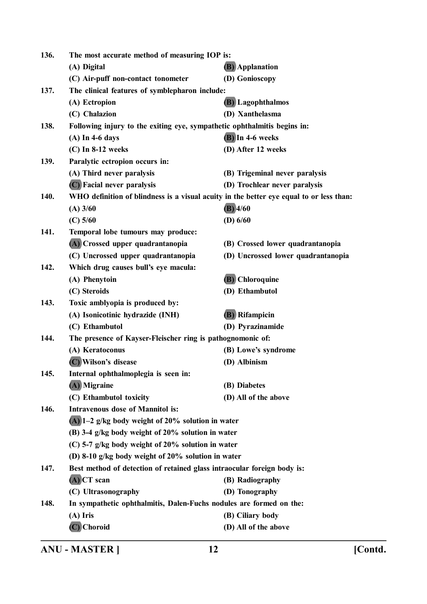| 136. |                                                                          | The most accurate method of measuring IOP is:                                           |  |
|------|--------------------------------------------------------------------------|-----------------------------------------------------------------------------------------|--|
|      | (A) Digital                                                              | <b>(B)</b> Applanation                                                                  |  |
|      | (C) Air-puff non-contact tonometer                                       | (D) Gonioscopy                                                                          |  |
| 137. | The clinical features of symblepharon include:                           |                                                                                         |  |
|      | (A) Ectropion                                                            | <b>(B)</b> Lagophthalmos                                                                |  |
|      | (C) Chalazion                                                            | (D) Xanthelasma                                                                         |  |
| 138. | Following injury to the exiting eye, sympathetic ophthalmitis begins in: |                                                                                         |  |
|      | $(A)$ In 4-6 days                                                        | $(B)$ In 4-6 weeks                                                                      |  |
|      | $(C)$ In 8-12 weeks                                                      | (D) After 12 weeks                                                                      |  |
| 139. | Paralytic ectropion occurs in:                                           |                                                                                         |  |
|      | (A) Third never paralysis                                                | (B) Trigeminal never paralysis                                                          |  |
|      | (C) Facial never paralysis                                               | (D) Trochlear never paralysis                                                           |  |
| 140. |                                                                          | WHO definition of blindness is a visual acuity in the better eye equal to or less than: |  |
|      | $(A)$ 3/60                                                               | $(B)$ 4/60                                                                              |  |
|      | $(C)$ 5/60                                                               | (D) $6/60$                                                                              |  |
| 141. | Temporal lobe tumours may produce:                                       |                                                                                         |  |
|      | (A) Crossed upper quadrantanopia                                         | (B) Crossed lower quadrantanopia                                                        |  |
|      | (C) Uncrossed upper quadrantanopia                                       | (D) Uncrossed lower quadrantanopia                                                      |  |
| 142. | Which drug causes bull's eye macula:                                     |                                                                                         |  |
|      | (A) Phenytoin                                                            | (B) Chloroquine                                                                         |  |
|      | (C) Steroids                                                             | (D) Ethambutol                                                                          |  |
| 143. | Toxic amblyopia is produced by:                                          |                                                                                         |  |
|      | (A) Isonicotinic hydrazide (INH)                                         | (B) Rifampicin                                                                          |  |
|      | (C) Ethambutol                                                           | (D) Pyrazinamide                                                                        |  |
| 144. | The presence of Kayser-Fleischer ring is pathognomonic of:               |                                                                                         |  |
|      | (A) Keratoconus                                                          | (B) Lowe's syndrome                                                                     |  |
|      | (C) Wilson's disease                                                     | (D) Albinism                                                                            |  |
| 145. | Internal ophthalmoplegia is seen in:                                     |                                                                                         |  |
|      | (A) Migraine                                                             | (B) Diabetes                                                                            |  |
|      | (C) Ethambutol toxicity                                                  | (D) All of the above                                                                    |  |
| 146. | <b>Intravenous dose of Mannitol is:</b>                                  |                                                                                         |  |
|      | $(A)$ 1–2 g/kg body weight of 20% solution in water                      |                                                                                         |  |
|      | (B) 3-4 g/kg body weight of 20% solution in water                        |                                                                                         |  |
|      | (C) 5-7 g/kg body weight of 20% solution in water                        |                                                                                         |  |
|      | (D) 8-10 g/kg body weight of 20% solution in water                       |                                                                                         |  |
| 147. | Best method of detection of retained glass intraocular foreign body is:  |                                                                                         |  |
|      | $(A)$ CT scan                                                            | (B) Radiography                                                                         |  |
|      | (C) Ultrasonography                                                      | (D) Tonography                                                                          |  |
| 148. | In sympathetic ophthalmitis, Dalen-Fuchs nodules are formed on the:      |                                                                                         |  |
|      | $(A)$ Iris                                                               | (B) Ciliary body                                                                        |  |
|      | $(C)$ Choroid                                                            | (D) All of the above                                                                    |  |

**ANU - MASTER ] 12 [Contd.**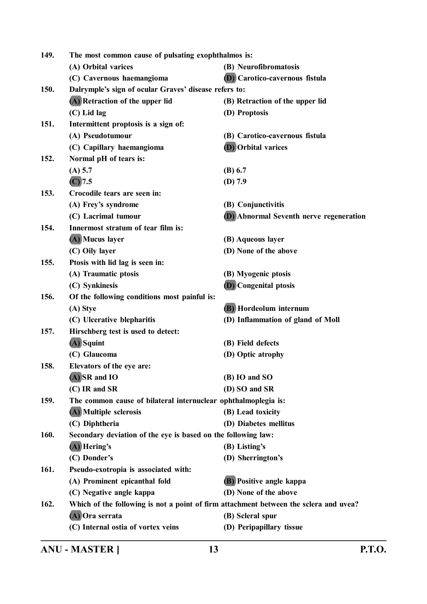| 149. | The most common cause of pulsating exophthalmos is:                                   |                                                |
|------|---------------------------------------------------------------------------------------|------------------------------------------------|
|      | (A) Orbital varices                                                                   | (B) Neurofibromatosis                          |
|      | (C) Cavernous haemangioma                                                             | <b>(D)</b> Carotico-cavernous fistula          |
| 150. | Dalrymple's sign of ocular Graves' disease refers to:                                 |                                                |
|      | (A) Retraction of the upper lid                                                       | (B) Retraction of the upper lid                |
|      | (C) Lid lag                                                                           | (D) Proptosis                                  |
| 151. | Intermittent proptosis is a sign of:                                                  |                                                |
|      | (A) Pseudotumour                                                                      | (B) Carotico-cavernous fistula                 |
|      | (C) Capillary haemangioma                                                             | <b>(D)</b> Orbital varices                     |
| 152. | Normal pH of tears is:                                                                |                                                |
|      | $(A)$ 5.7                                                                             | (B) 6.7                                        |
|      | (C) 7.5                                                                               | (D) 7.9                                        |
| 153. | Crocodile tears are seen in:                                                          |                                                |
|      | (A) Frey's syndrome                                                                   | (B) Conjunctivitis                             |
|      | (C) Lacrimal tumour                                                                   | <b>(D)</b> Abnormal Seventh nerve regeneration |
| 154. | Innermost stratum of tear film is:                                                    |                                                |
|      | (A) Mucus layer                                                                       | (B) Aqueous layer                              |
|      | (C) Oily layer                                                                        | (D) None of the above                          |
| 155. | Ptosis with lid lag is seen in:                                                       |                                                |
|      | (A) Traumatic ptosis                                                                  | (B) Myogenic ptosis                            |
|      | (C) Synkinesis                                                                        | <b>(D)</b> Congenital ptosis                   |
| 156. | Of the following conditions most painful is:                                          |                                                |
|      | (A) Stye                                                                              | (B) Hordeolum internum                         |
|      | (C) Ulcerative blepharitis                                                            | (D) Inflammation of gland of Moll              |
| 157. | Hirschberg test is used to detect:                                                    |                                                |
|      | $(A)$ Squint                                                                          | (B) Field defects                              |
|      | (C) Glaucoma                                                                          | (D) Optic atrophy                              |
| 158. | Elevators of the eye are:                                                             |                                                |
|      | $(A)$ SR and IO                                                                       | (B) IO and SO                                  |
|      | $(C)$ IR and SR                                                                       | (D) SO and SR                                  |
| 159. | The common cause of bilateral internuclear ophthalmoplegia is:                        |                                                |
|      | (A) Multiple sclerosis                                                                | (B) Lead toxicity                              |
|      | (C) Diphtheria                                                                        | (D) Diabetes mellitus                          |
| 160. | Secondary deviation of the eye is based on the following law:                         |                                                |
|      | $(A)$ Hering's                                                                        | (B) Listing's                                  |
|      | (C) Donder's                                                                          | (D) Sherrington's                              |
| 161. | Pseudo-exotropia is associated with:                                                  |                                                |
|      | (A) Prominent epicanthal fold                                                         | (B) Positive angle kappa                       |
|      | (C) Negative angle kappa                                                              | (D) None of the above                          |
| 162. | Which of the following is not a point of firm attachment between the sclera and uvea? |                                                |
|      | (A) Ora serrata                                                                       | (B) Scleral spur                               |
|      | (C) Internal ostia of vortex veins                                                    | (D) Peripapillary tissue                       |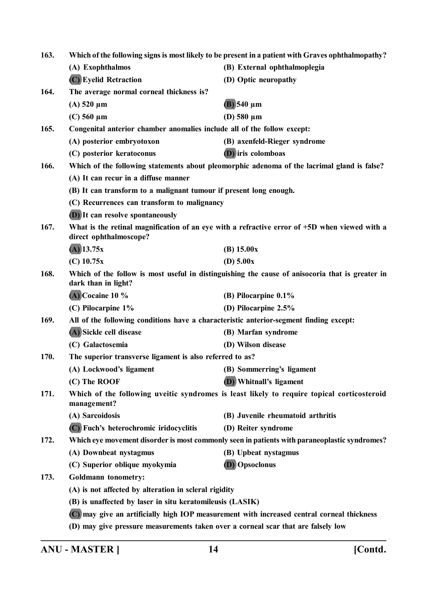| 163. | Which of the following signs is most likely to be present in a patient with Graves ophthalmopathy?                      |                                                                                              |  |
|------|-------------------------------------------------------------------------------------------------------------------------|----------------------------------------------------------------------------------------------|--|
|      | (A) Exophthalmos                                                                                                        | (B) External ophthalmoplegia                                                                 |  |
|      | (C) Eyelid Retraction                                                                                                   | (D) Optic neuropathy                                                                         |  |
| 164. | The average normal corneal thickness is?                                                                                |                                                                                              |  |
|      | $(A)$ 520 $\mu$ m                                                                                                       | $(B)$ 540 µm                                                                                 |  |
|      | $(C)$ 560 $\mu$ m                                                                                                       | (D) $580 \mu m$                                                                              |  |
| 165. | Congenital anterior chamber anomalies include all of the follow except:                                                 |                                                                                              |  |
|      | (A) posterior embryotoxon                                                                                               | (B) axenfeld-Rieger syndrome                                                                 |  |
|      | (C) posterior keratoconus                                                                                               | (D) iris colomboas                                                                           |  |
| 166. | Which of the following statements about pleomorphic adenoma of the lacrimal gland is false?                             |                                                                                              |  |
|      | (A) It can recur in a diffuse manner                                                                                    |                                                                                              |  |
|      | (B) It can transform to a malignant tumour if present long enough.                                                      |                                                                                              |  |
|      |                                                                                                                         | (C) Recurrences can transform to malignancy                                                  |  |
|      | (D) It can resolve spontaneously                                                                                        |                                                                                              |  |
| 167. | What is the retinal magnification of an eye with a refractive error of +5D when viewed with a<br>direct ophthalmoscope? |                                                                                              |  |
|      | $(A)$ 13.75x                                                                                                            | (B) 15.00x                                                                                   |  |
|      | $(C)$ 10.75x                                                                                                            | (D) $5.00x$                                                                                  |  |
| 168. | Which of the follow is most useful in distinguishing the cause of anisocoria that is greater in<br>dark than in light?  |                                                                                              |  |
|      | $(A)$ Cocaine 10 %                                                                                                      | (B) Pilocarpine 0.1%                                                                         |  |
|      | (C) Pilocarpine 1%                                                                                                      | (D) Pilocarpine 2.5%                                                                         |  |
| 169. |                                                                                                                         | All of the following conditions have a characteristic anterior-segment finding except:       |  |
|      | (A) Sickle cell disease                                                                                                 | (B) Marfan syndrome                                                                          |  |
|      | (C) Galactosemia                                                                                                        | (D) Wilson disease                                                                           |  |
| 170. | The superior transverse ligament is also referred to as?                                                                |                                                                                              |  |
|      | (A) Lockwood's ligament                                                                                                 | (B) Sommerring's ligament                                                                    |  |
|      | (C) The ROOF                                                                                                            | (D) Whitnall's ligament                                                                      |  |
| 171. | Which of the following uveitic syndromes is least likely to require topical corticosteroid<br>management?               |                                                                                              |  |
|      | (A) Sarcoidosis                                                                                                         | (B) Juvenile rheumatoid arthritis                                                            |  |
|      | (C) Fuch's heterochromic iridocyclitis                                                                                  | (D) Reiter syndrome                                                                          |  |
| 172. |                                                                                                                         | Which eye movement disorder is most commonly seen in patients with paraneoplastic syndromes? |  |
|      | (A) Downbeat nystagmus                                                                                                  | (B) Upbeat nystagmus                                                                         |  |
|      | (C) Superior oblique myokymia                                                                                           | (D) Opsoclonus                                                                               |  |
| 173. | Goldmann tonometry:                                                                                                     |                                                                                              |  |
|      | (A) is not affected by alteration in scleral rigidity                                                                   |                                                                                              |  |
|      | (B) is unaffected by laser in situ keratomileusis (LASIK)                                                               |                                                                                              |  |
|      | (C) may give an artificially high IOP measurement with increased central corneal thickness                              |                                                                                              |  |
|      | (D) may give pressure measurements taken over a corneal scar that are falsely low                                       |                                                                                              |  |
|      |                                                                                                                         |                                                                                              |  |

**ANU - MASTER ] 14 [Contd.**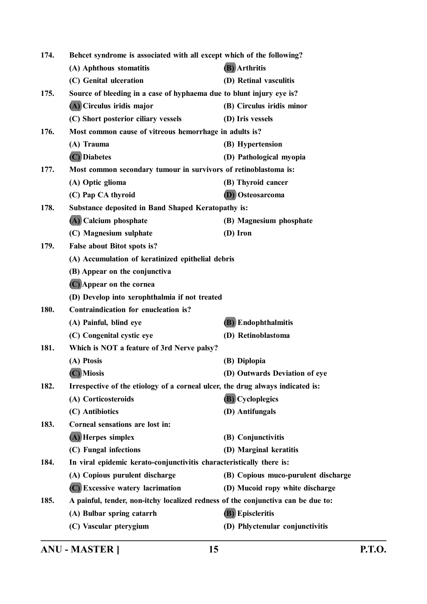| 174. | Behcet syndrome is associated with all except which of the following?            |                                     |
|------|----------------------------------------------------------------------------------|-------------------------------------|
|      | (A) Aphthous stomatitis                                                          | (B) Arthritis                       |
|      | (C) Genital ulceration                                                           | (D) Retinal vasculitis              |
| 175. | Source of bleeding in a case of hyphaema due to blunt injury eye is?             |                                     |
|      | (A) Circulus iridis major                                                        | (B) Circulus iridis minor           |
|      | (C) Short posterior ciliary vessels                                              | (D) Iris vessels                    |
| 176. | Most common cause of vitreous hemorrhage in adults is?                           |                                     |
|      | (A) Trauma                                                                       | (B) Hypertension                    |
|      | (C) Diabetes                                                                     | (D) Pathological myopia             |
| 177. | Most common secondary tumour in survivors of retinoblastoma is:                  |                                     |
|      | (A) Optic glioma                                                                 | (B) Thyroid cancer                  |
|      | (C) Pap CA thyroid                                                               | <b>(D)</b> Osteosarcoma             |
| 178. | <b>Substance deposited in Band Shaped Keratopathy is:</b>                        |                                     |
|      | (A) Calcium phosphate                                                            | (B) Magnesium phosphate             |
|      | (C) Magnesium sulphate                                                           | (D) Iron                            |
| 179. | False about Bitot spots is?                                                      |                                     |
|      | (A) Accumulation of keratinized epithelial debris                                |                                     |
|      | (B) Appear on the conjunctiva                                                    |                                     |
|      | (C) Appear on the cornea                                                         |                                     |
|      | (D) Develop into xerophthalmia if not treated                                    |                                     |
| 180. | Contraindication for enucleation is?                                             |                                     |
|      | (A) Painful, blind eye                                                           | (B) Endophthalmitis                 |
|      | (C) Congenital cystic eye                                                        | (D) Retinoblastoma                  |
| 181. | Which is NOT a feature of 3rd Nerve palsy?                                       |                                     |
|      | (A) Ptosis                                                                       | (B) Diplopia                        |
|      | (C) Miosis                                                                       | (D) Outwards Deviation of eye       |
| 182. | Irrespective of the etiology of a corneal ulcer, the drug always indicated is:   |                                     |
|      | (A) Corticosteroids                                                              | <b>(B)</b> Cycloplegics             |
|      | (C) Antibiotics                                                                  | (D) Antifungals                     |
| 183. | Corneal sensations are lost in:                                                  |                                     |
|      | (A) Herpes simplex                                                               | (B) Conjunctivitis                  |
|      | (C) Fungal infections                                                            | (D) Marginal keratitis              |
| 184. | In viral epidemic kerato-conjunctivitis characteristically there is:             |                                     |
|      | (A) Copious purulent discharge                                                   | (B) Copious muco-purulent discharge |
|      | (C) Excessive watery lacrimation                                                 | (D) Mucoid ropy white discharge     |
| 185. | A painful, tender, non-itchy localized redness of the conjunctiva can be due to: |                                     |
|      | (A) Bulbar spring catarrh                                                        | (B) Episcleritis                    |
|      | (C) Vascular pterygium                                                           | (D) Phlyctenular conjunctivitis     |
|      |                                                                                  |                                     |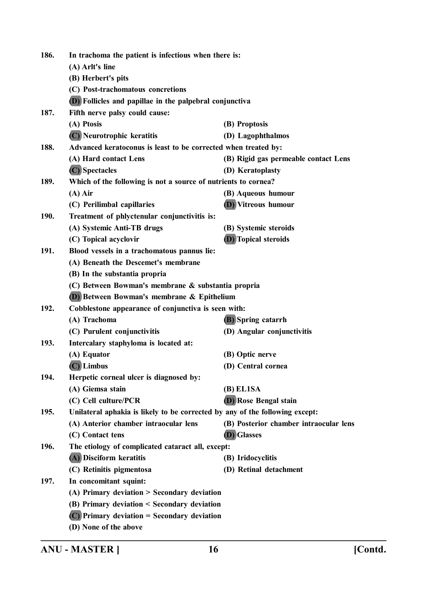| 186. | In trachoma the patient is infectious when there is:                         |                                        |  |
|------|------------------------------------------------------------------------------|----------------------------------------|--|
|      | (A) Arlt's line                                                              |                                        |  |
|      | (B) Herbert's pits                                                           |                                        |  |
|      | (C) Post-trachomatous concretions                                            |                                        |  |
|      | <b>(D)</b> Follicles and papillae in the palpebral conjunctiva               |                                        |  |
| 187. | Fifth nerve palsy could cause:                                               |                                        |  |
|      | (A) Ptosis                                                                   | (B) Proptosis                          |  |
|      | (C) Neurotrophic keratitis                                                   | (D) Lagophthalmos                      |  |
| 188. | Advanced keratoconus is least to be corrected when treated by:               |                                        |  |
|      | (A) Hard contact Lens                                                        | (B) Rigid gas permeable contact Lens   |  |
|      | (C) Spectacles                                                               | (D) Keratoplasty                       |  |
| 189. | Which of the following is not a source of nutrients to cornea?               |                                        |  |
|      | $(A)$ Air                                                                    | (B) Aqueous humour                     |  |
|      | (C) Perilimbal capillaries                                                   | (D) Vitreous humour                    |  |
| 190. | Treatment of phlyctenular conjunctivitis is:                                 |                                        |  |
|      | (A) Systemic Anti-TB drugs                                                   | (B) Systemic steroids                  |  |
|      | (C) Topical acyclovir                                                        | <b>(D)</b> Topical steroids            |  |
| 191. | Blood vessels in a trachomatous pannus lie:                                  |                                        |  |
|      | (A) Beneath the Descemet's membrane                                          |                                        |  |
|      | (B) In the substantia propria                                                |                                        |  |
|      | (C) Between Bowman's membrane & substantia propria                           |                                        |  |
|      | (D) Between Bowman's membrane & Epithelium                                   |                                        |  |
| 192. | Cobblestone appearance of conjunctiva is seen with:                          |                                        |  |
|      | (A) Trachoma                                                                 | <b>(B)</b> Spring catarrh              |  |
|      | (C) Purulent conjunctivitis                                                  | (D) Angular conjunctivitis             |  |
| 193. | Intercalary staphyloma is located at:                                        |                                        |  |
|      | (A) Equator                                                                  | (B) Optic nerve                        |  |
|      | $(C)$ Limbus                                                                 | (D) Central cornea                     |  |
| 194. | Herpetic corneal ulcer is diagnosed by:                                      |                                        |  |
|      | (A) Giemsa stain                                                             | (B) EL1SA                              |  |
|      | (C) Cell culture/PCR                                                         | <b>(D)</b> Rose Bengal stain           |  |
| 195. | Unilateral aphakia is likely to be corrected by any of the following except: |                                        |  |
|      | (A) Anterior chamber intraocular lens                                        | (B) Posterior chamber intraocular lens |  |
|      | (C) Contact tens                                                             | (D) Glasses                            |  |
| 196. | The etiology of complicated cataract all, except:                            |                                        |  |
|      | (A) Disciform keratitis                                                      | (B) Iridocyclitis                      |  |
|      | (C) Retinitis pigmentosa                                                     | (D) Retinal detachment                 |  |
| 197. | In concomitant squint:                                                       |                                        |  |
|      | (A) Primary deviation > Secondary deviation                                  |                                        |  |
|      | (B) Primary deviation < Secondary deviation                                  |                                        |  |
|      | $(C)$ Primary deviation = Secondary deviation                                |                                        |  |
|      | (D) None of the above                                                        |                                        |  |

**ANU - MASTER ] 16 [Contd.**